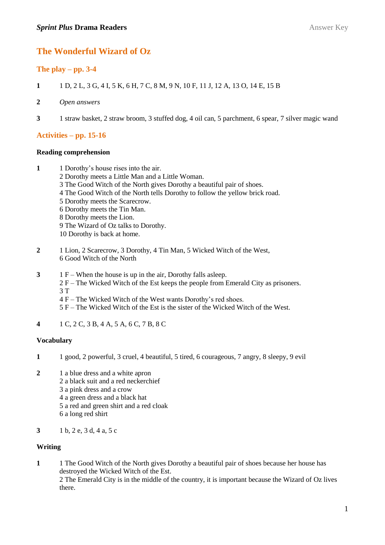# **The Wonderful Wizard of Oz**

# **The play – pp. 3-4**

- **1** 1 D, 2 L, 3 G, 4 I, 5 K, 6 H, 7 C, 8 M, 9 N, 10 F, 11 J, 12 A, 13 O, 14 E, 15 B
- **2** *Open answers*
- **3** 1 straw basket, 2 straw broom, 3 stuffed dog, 4 oil can, 5 parchment, 6 spear, 7 silver magic wand

# **Activities – pp. 15-16**

### **Reading comprehension**

- **1** 1 Dorothy's house rises into the air.
	- 2 Dorothy meets a Little Man and a Little Woman.
	- 3 The Good Witch of the North gives Dorothy a beautiful pair of shoes.
	- 4 The Good Witch of the North tells Dorothy to follow the yellow brick road.
	- 5 Dorothy meets the Scarecrow.
	- 6 Dorothy meets the Tin Man.
	- 8 Dorothy meets the Lion.
	- 9 The Wizard of Oz talks to Dorothy.
	- 10 Dorothy is back at home.
- **2** 1 Lion, 2 Scarecrow, 3 Dorothy, 4 Tin Man, 5 Wicked Witch of the West, 6 Good Witch of the North
- **3** 1 F When the house is up in the air, Dorothy falls asleep.
	- 2 F The Wicked Witch of the Est keeps the people from Emerald City as prisoners. 3 T
	- 4 F The Wicked Witch of the West wants Dorothy's red shoes.
	- 5 F The Wicked Witch of the Est is the sister of the Wicked Witch of the West.
- **4** 1 C, 2 C, 3 B, 4 A, 5 A, 6 C, 7 B, 8 C

#### **Vocabulary**

- **1** 1 good, 2 powerful, 3 cruel, 4 beautiful, 5 tired, 6 courageous, 7 angry, 8 sleepy, 9 evil
- **2** 1 a blue dress and a white apron
	- 2 a black suit and a red neckerchief
		- 3 a pink dress and a crow
		- 4 a green dress and a black hat
	- 5 a red and green shirt and a red cloak
	- 6 a long red shirt
- **3** 1 b, 2 e, 3 d, 4 a, 5 c

## **Writing**

**1** 1 The Good Witch of the North gives Dorothy a beautiful pair of shoes because her house has destroyed the Wicked Witch of the Est.

2 The Emerald City is in the middle of the country, it is important because the Wizard of Oz lives there.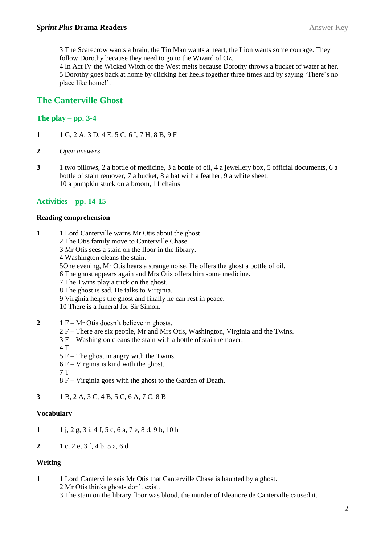3 The Scarecrow wants a brain, the Tin Man wants a heart, the Lion wants some courage. They follow Dorothy because they need to go to the Wizard of Oz.

4 In Act IV the Wicked Witch of the West melts because Dorothy throws a bucket of water at her. 5 Dorothy goes back at home by clicking her heels together three times and by saying 'There's no place like home!'.

# **The Canterville Ghost**

# **The play – pp. 3-4**

- **1** 1 G, 2 A, 3 D, 4 E, 5 C, 6 I, 7 H, 8 B, 9 F
- **2** *Open answers*
- **3** 1 two pillows, 2 a bottle of medicine, 3 a bottle of oil, 4 a jewellery box, 5 official documents, 6 a bottle of stain remover, 7 a bucket, 8 a hat with a feather, 9 a white sheet, 10 a pumpkin stuck on a broom, 11 chains

## **Activities – pp. 14-15**

#### **Reading comprehension**

- **1** 1 Lord Canterville warns Mr Otis about the ghost.
	- 2 The Otis family move to Canterville Chase.
	- 3 Mr Otis sees a stain on the floor in the library.
	- 4 Washington cleans the stain.
	- 5One evening, Mr Otis hears a strange noise. He offers the ghost a bottle of oil.
	- 6 The ghost appears again and Mrs Otis offers him some medicine.
	- 7 The Twins play a trick on the ghost.
	- 8 The ghost is sad. He talks to Virginia.
	- 9 Virginia helps the ghost and finally he can rest in peace.
	- 10 There is a funeral for Sir Simon.
- **2** 1 F Mr Otis doesn't believe in ghosts.
	- 2 F There are six people, Mr and Mrs Otis, Washington, Virginia and the Twins.
	- 3 F Washington cleans the stain with a bottle of stain remover.
	- 4 T
	- 5 F The ghost in angry with the Twins.
	- $6 F Virginia$  is kind with the ghost.
	- 7 T
	- 8 F Virginia goes with the ghost to the Garden of Death.
- **3** 1 B, 2 A, 3 C, 4 B, 5 C, 6 A, 7 C, 8 B

#### **Vocabulary**

- **1** 1 j, 2 g, 3 i, 4 f, 5 c, 6 a, 7 e, 8 d, 9 b, 10 h
- **2** 1 c, 2 e, 3 f, 4 b, 5 a, 6 d

## **Writing**

- **1** 1 Lord Canterville sais Mr Otis that Canterville Chase is haunted by a ghost. 2 Mr Otis thinks ghosts don't exist.
	- 3 The stain on the library floor was blood, the murder of Eleanore de Canterville caused it.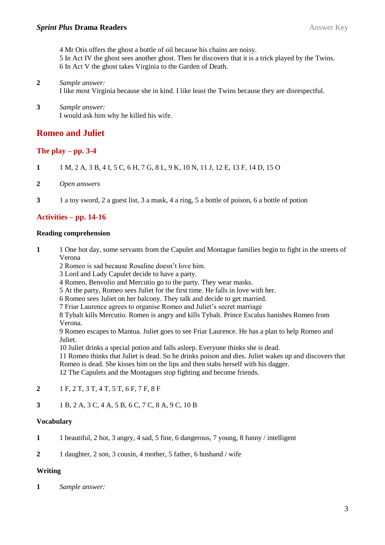4 Mr Otis offers the ghost a bottle of oil because his chains are noisy. 5 In Act IV the ghost sees another ghost. Then he discovers that it is a trick played by the Twins. 6 In Act V the ghost takes Virginia to the Garden of Death.

### **2** *Sample answer:* I like most Virginia because she in kind. I like least the Twins because they are disrespectful.

**3** *Sample answer:* I would ask him why he killed his wife.

# **Romeo and Juliet**

# **The play – pp. 3-4**

- **1** 1 M, 2 A, 3 B, 4 I, 5 C, 6 H, 7 G, 8 L, 9 K, 10 N, 11 J, 12 E, 13 F, 14 D, 15 O
- **2** *Open answers*
- **3** 1 a toy sword, 2 a guest list, 3 a mask, 4 a ring, 5 a bottle of poison, 6 a bottle of potion

# **Activities – pp. 14-16**

## **Reading comprehension**

- **1** 1 One hot day, some servants from the Capulet and Montague families begin to fight in the streets of Verona
	- 2 Romeo is sad because Rosaline doesn't love him.
	- 3 Lord and Lady Capulet decide to have a party.
	- 4 Romeo, Benvolio and Mercutio go to the party. They wear masks.
	- 5 At the party, Romeo sees Juliet for the first time. He falls in love with her.
	- 6 Romeo sees Juliet on her balcony. They talk and decide to get married.
	- 7 Friar Laurence agrees to organise Romeo and Juliet's secret marriage

8 Tybalt kills Mercutio. Romeo is angry and kills Tybalt. Prince Escalus banishes Romeo from Verona.

9 Romeo escapes to Mantua. Juliet goes to see Friar Laurence. He has a plan to help Romeo and Juliet.

10 Juliet drinks a special potion and falls asleep. Everyone thinks she is dead.

11 Romeo thinks that Juliet is dead. So he drinks poison and dies. Juliet wakes up and discovers that Romeo is dead. She kisses him on the lips and then stabs herself with his dagger.

12 The Capulets and the Montagues stop fighting and become friends.

- **2** 1 F, 2 T, 3 T, 4 T, 5 T, 6 F, 7 F, 8 F
- **3** 1 B, 2 A, 3 C, 4 A, 5 B, 6 C, 7 C, 8 A, 9 C, 10 B

## **Vocabulary**

**1** 1 beautiful, 2 hot, 3 angry, 4 sad, 5 fine, 6 dangerous, 7 young, 8 funny / intelligent

**2** 1 daughter, 2 son, 3 cousin, 4 mother, 5 father, 6 husband / wife

# **Writing**

**1** *Sample answer:*